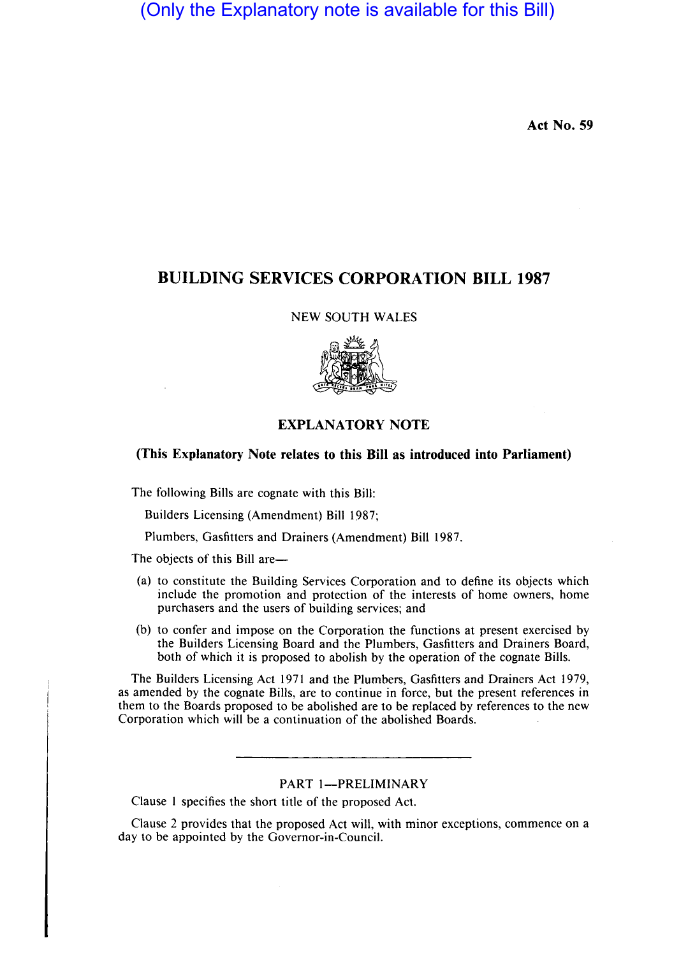(Only the Explanatory note is available for this Bill)

Act No. 59

# BUILDING SERVICES CORPORATION **BILL** 1987

NEW SOUTH WALES



## EXPLANATORY NOTE

(This Explanatory Note relates to this Bill as introduced into Parliament)

The following Bills are cognate with this Bill:

Builders Licensing (Amendment) Bill 1987;

Plumbers, Gasfitters and Drainers (Amendment) Bill 1987.

The objects of this Bill are-

- (a) to constitute the Building Services Corporation and to define its objects which include the promotion and protection of the interests of home owners, home purchasers and the users of building services; and
- (b) to confer and impose on the Corporation the functions at present exercised by the Builders Licensing Board and the Plumbers, Gasfitters and Drainers Board, both of which it is proposed to abolish by the operation of the cognate Bills.

The Builders Licensing Act 1971 and the Plumbers, Gasfitters and Drainers Act 1979, as amended by the cognate Bills, are to continue in force, but the present references in them to the Boards proposed to be abolished are to be replaced by references to the new Corporation which will be a continuation of the abolished Boards.

### PART 1-PRELIMINARY

Clause 1 specifies the short title of the proposed Act.

Clause 2 provides that the proposed Act will, with minor exceptions, commence on a day to be appointed by the Governor-in-Council.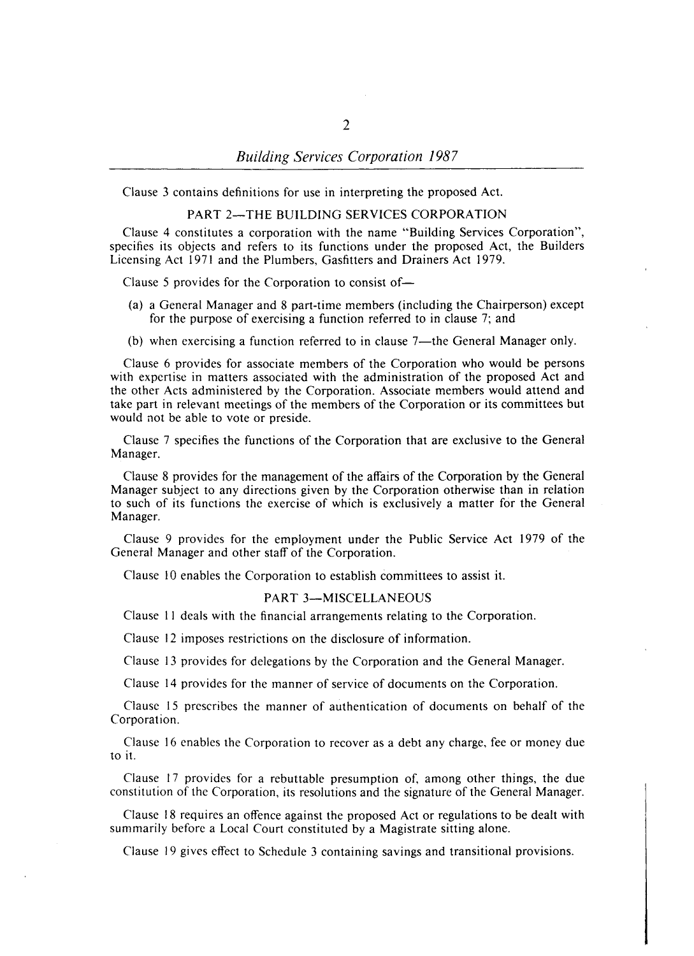## *Building Services Corporation 1987*

Clause 3 contains definitions for use in interpreting the proposed Act.

#### PART 2-THE BUILDING SERVICES CORPORATION

Clause 4 constitutes a corporation with the name "Building Services Corporation", specifies its objects and refers to its functions under the proposed Act, the Builders Licensing Act 1971 and the Plumbers, Gasfitters and Drainers Act 1979.

Clause 5 provides for the Corporation to consist of-

- (a) a General Manager and 8 part-time members (including the Chairperson) except for the purpose of exercising a function referred to in clause 7; and
- (b) when exercising a function referred to in clause 7—the General Manager only.

Clause 6 provides for associate members of the Corporation who would be persons with expertise in matters associated with the administration of the proposed Act and the other Acts administered by the Corporation. Associate members would attend and take part in relevant meetings of the members of the Corporation or its committees but would not be able to vote or preside.

Clause 7 specifies the functions of the Corporation that are exclusive to the General Manager.

Clause 8 provides for the management of the affairs of the Corporation by the General Manager subject to any directions given by the Corporation otherwise than in relation to such of its functions the exercise of which is exclusively a matter for the General Manager.

Clause 9 provides for the employment under the Public Service Act 1979 of the General Manager and other staff of the Corporation.

Clause 10 enables the Corporation to establish committees to assist it.

#### PART 3-MISCELLANEOUS

Clause II deals with the financial arrangements relating to the Corporation.

Clause 12 imposes restrictions on the disclosure of information.

Clause 13 provides for delegations by the Corporation and the General Manager.

Clause 14 provides for the manner of service of documents on the Corporation.

Clause 15 prescribes the manner of authentication of documents on behalf of the Corporation.

Clause 16 enables the Corporation to recover as a debt any charge, fee or money due to it.

Clause 17 provides for a rebuttable presumption of, among other things, the due constitution of the Corporation, its resolutions and the signature of the General Manager.

Clause 18 requires an offence against the proposed Act or regulations to be dealt with summarily before a Local Court constituted by a Magistrate sitting alone.

Clause 19 gives effect to Schedule 3 containing savings and transitional provisions.